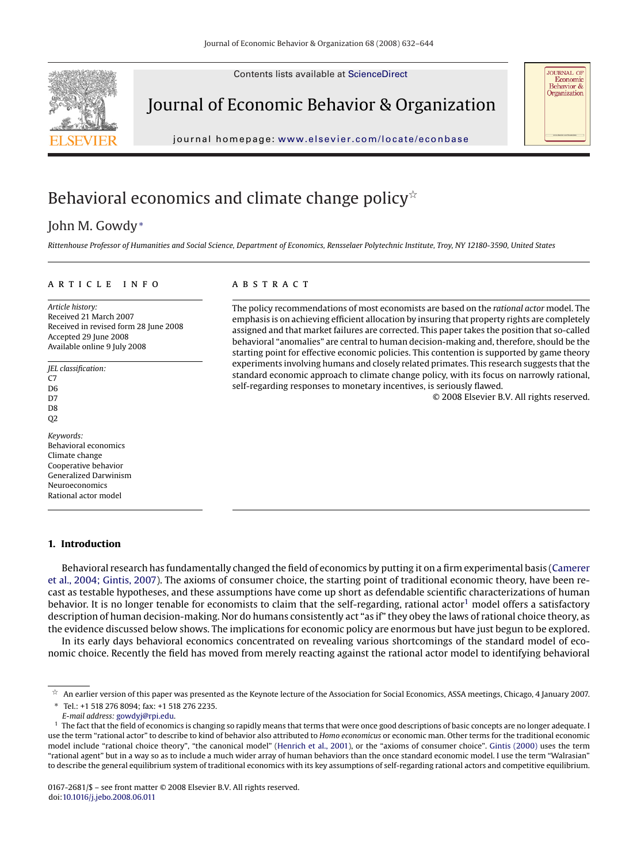Contents lists available at [ScienceDirect](http://www.sciencedirect.com/science/journal/01672681)



Journal of Economic Behavior & Organization



## Behavioral economics and climate change policy $\mathbb{\hat{R}}$

## John M. Gowdy<sup>∗</sup>

*Rittenhouse Professor of Humanities and Social Science, Department of Economics, Rensselaer Polytechnic Institute, Troy, NY 12180-3590, United States*

### article info

*Article history:* Received 21 March 2007 Received in revised form 28 June 2008 Accepted 29 June 2008 Available online 9 July 2008

*JEL classification:*  $C<sub>7</sub>$ D6 D<sub>7</sub> D8 Q2 *Keywords:* Behavioral economics Climate change

Cooperative behavior Generalized Darwinism Neuroeconomics Rational actor model

### **1. Introduction**

## **ABSTRACT**

The policy recommendations of most economists are based on the *rational actor* model. The emphasis is on achieving efficient allocation by insuring that property rights are completely assigned and that market failures are corrected. This paper takes the position that so-called behavioral "anomalies" are central to human decision-making and, therefore, should be the starting point for effective economic policies. This contention is supported by game theory experiments involving humans and closely related primates. This research suggests that the standard economic approach to climate change policy, with its focus on narrowly rational, self-regarding responses to monetary incentives, is seriously flawed.

© 2008 Elsevier B.V. All rights reserved.

**JOURNAL OF** Economic Behavior &<br>Organization

Behavioral research has fundamentally changed the field of economics by putting it on a firm experimental basis [\(Camerer](#page--1-0) [et al., 2004; Gintis, 2007\).](#page--1-0) The axioms of consumer choice, the starting point of traditional economic theory, have been recast as testable hypotheses, and these assumptions have come up short as defendable scientific characterizations of human behavior. It is no longer tenable for economists to claim that the self-regarding, rational actor<sup>1</sup> model offers a satisfactory description of human decision-making. Nor do humans consistently act "as if" they obey the laws of rational choice theory, as the evidence discussed below shows. The implications for economic policy are enormous but have just begun to be explored.

In its early days behavioral economics concentrated on revealing various shortcomings of the standard model of economic choice. Recently the field has moved from merely reacting against the rational actor model to identifying behavioral

 $^\star$  An earlier version of this paper was presented as the Keynote lecture of the Association for Social Economics, ASSA meetings, Chicago, 4 January 2007. ∗ Tel.: +1 518 276 8094; fax: +1 518 276 2235.

*E-mail address:* [gowdyj@rpi.edu.](mailto:gowdyj@rpi.edu)

<sup>&</sup>lt;sup>1</sup> The fact that the field of economics is changing so rapidly means that terms that were once good descriptions of basic concepts are no longer adequate. I use the term "rational actor" to describe to kind of behavior also attributed to *Homo economicus* or economic man. Other terms for the traditional economic model include "rational choice theory", "the canonical model" ([Henrich et al., 2001\),](#page--1-0) or the "axioms of consumer choice". [Gintis \(2000\)](#page--1-0) uses the term "rational agent" but in a way so as to include a much wider array of human behaviors than the once standard economic model. I use the term "Walrasian" to describe the general equilibrium system of traditional economics with its key assumptions of self-regarding rational actors and competitive equilibrium.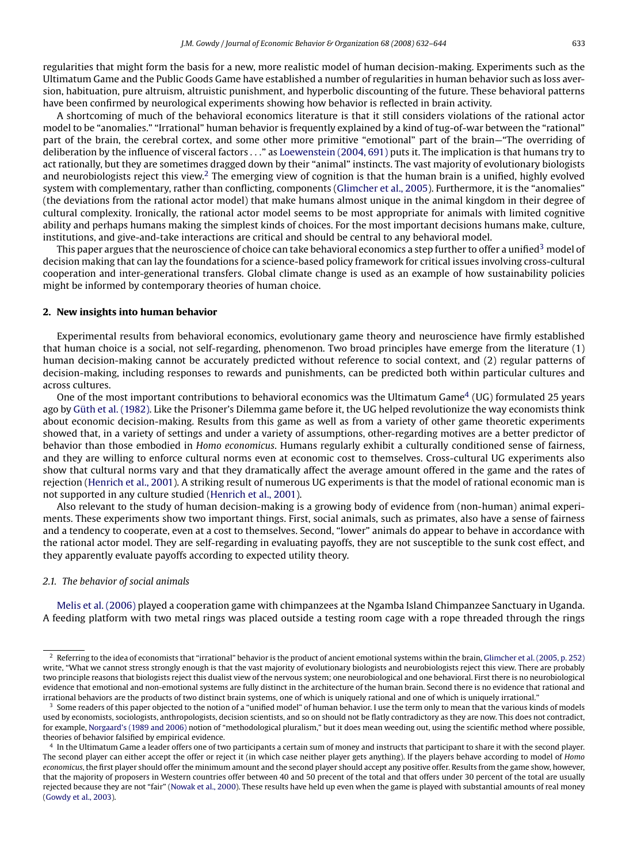regularities that might form the basis for a new, more realistic model of human decision-making. Experiments such as the Ultimatum Game and the Public Goods Game have established a number of regularities in human behavior such as loss aversion, habituation, pure altruism, altruistic punishment, and hyperbolic discounting of the future. These behavioral patterns have been confirmed by neurological experiments showing how behavior is reflected in brain activity.

A shortcoming of much of the behavioral economics literature is that it still considers violations of the rational actor model to be "anomalies." "Irrational" human behavior is frequently explained by a kind of tug-of-war between the "rational" part of the brain, the cerebral cortex, and some other more primitive "emotional" part of the brain—"The overriding of deliberation by the influence of visceral factors ..." as [Loewenstein \(2004, 691\)](#page--1-0) puts it. The implication is that humans try to act rationally, but they are sometimes dragged down by their "animal" instincts. The vast majority of evolutionary biologists and neurobiologists reject this view.<sup>2</sup> The emerging view of cognition is that the human brain is a unified, highly evolved system with complementary, rather than conflicting, components [\(Glimcher et al., 2005\).](#page--1-0) Furthermore, it is the "anomalies" (the deviations from the rational actor model) that make humans almost unique in the animal kingdom in their degree of cultural complexity. Ironically, the rational actor model seems to be most appropriate for animals with limited cognitive ability and perhaps humans making the simplest kinds of choices. For the most important decisions humans make, culture, institutions, and give-and-take interactions are critical and should be central to any behavioral model.

This paper argues that the neuroscience of choice can take behavioral economics a step further to offer a unified<sup>3</sup> model of decision making that can lay the foundations for a science-based policy framework for critical issues involving cross-cultural cooperation and inter-generational transfers. Global climate change is used as an example of how sustainability policies might be informed by contemporary theories of human choice.

## **2. New insights into human behavior**

Experimental results from behavioral economics, evolutionary game theory and neuroscience have firmly established that human choice is a social, not self-regarding, phenomenon. Two broad principles have emerge from the literature (1) human decision-making cannot be accurately predicted without reference to social context, and (2) regular patterns of decision-making, including responses to rewards and punishments, can be predicted both within particular cultures and across cultures.

One of the most important contributions to behavioral economics was the Ultimatum Game<sup>4</sup> (UG) formulated 25 years ago by [Güth et al. \(1982\). L](#page--1-0)ike the Prisoner's Dilemma game before it, the UG helped revolutionize the way economists think about economic decision-making. Results from this game as well as from a variety of other game theoretic experiments showed that, in a variety of settings and under a variety of assumptions, other-regarding motives are a better predictor of behavior than those embodied in *Homo economicus*. Humans regularly exhibit a culturally conditioned sense of fairness, and they are willing to enforce cultural norms even at economic cost to themselves. Cross-cultural UG experiments also show that cultural norms vary and that they dramatically affect the average amount offered in the game and the rates of rejection ([Henrich et al., 2001\).](#page--1-0) A striking result of numerous UG experiments is that the model of rational economic man is not supported in any culture studied [\(Henrich et al., 2001\).](#page--1-0)

Also relevant to the study of human decision-making is a growing body of evidence from (non-human) animal experiments. These experiments show two important things. First, social animals, such as primates, also have a sense of fairness and a tendency to cooperate, even at a cost to themselves. Second, "lower" animals do appear to behave in accordance with the rational actor model. They are self-regarding in evaluating payoffs, they are not susceptible to the sunk cost effect, and they apparently evaluate payoffs according to expected utility theory.

#### *2.1. The behavior of social animals*

[Melis et al. \(2006\)](#page--1-0) played a cooperation game with chimpanzees at the Ngamba Island Chimpanzee Sanctuary in Uganda. A feeding platform with two metal rings was placed outside a testing room cage with a rope threaded through the rings

 $2$  Referring to the idea of economists that "irrational" behavior is the product of ancient emotional systems within the brain, [Glimcher et al. \(2005, p. 252\)](#page--1-0) write, "What we cannot stress strongly enough is that the vast majority of evolutionary biologists and neurobiologists reject this view. There are probably two principle reasons that biologists reject this dualist view of the nervous system; one neurobiological and one behavioral. First there is no neurobiological evidence that emotional and non-emotional systems are fully distinct in the architecture of the human brain. Second there is no evidence that rational and irrational behaviors are the products of two distinct brain systems, one of which is uniquely rational and one of which is uniquely irrational."

<sup>3</sup> Some readers of this paper objected to the notion of a "unified model" of human behavior. I use the term only to mean that the various kinds of models used by economists, sociologists, anthropologists, decision scientists, and so on should not be flatly contradictory as they are now. This does not contradict, for example, [Norgaard's \(1989 and 2006\)](#page--1-0) notion of "methodological pluralism," but it does mean weeding out, using the scientific method where possible, theories of behavior falsified by empirical evidence.

<sup>4</sup> In the Ultimatum Game a leader offers one of two participants a certain sum of money and instructs that participant to share it with the second player. The second player can either accept the offer or reject it (in which case neither player gets anything). If the players behave according to model of *Homo economicus*, the first player should offer the minimum amount and the second player should accept any positive offer. Results from the game show, however, that the majority of proposers in Western countries offer between 40 and 50 precent of the total and that offers under 30 percent of the total are usually rejected because they are not "fair" ([Nowak et al., 2000\).](#page--1-0) These results have held up even when the game is played with substantial amounts of real money [\(Gowdy et al., 2003\).](#page--1-0)